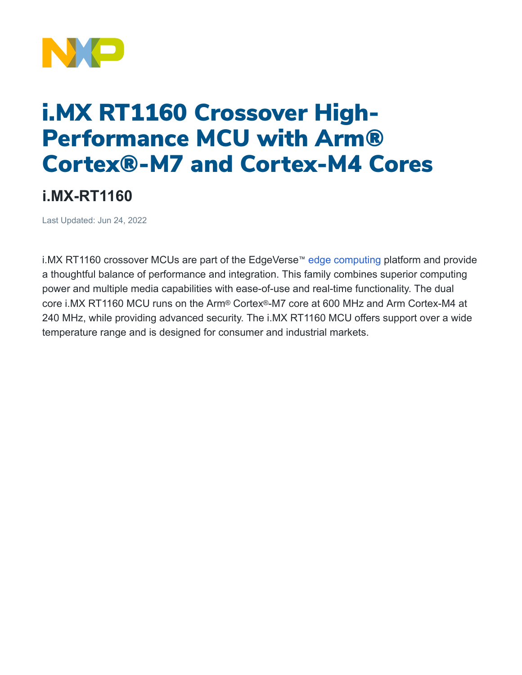

## i.MX RT1160 Crossover High-Performance MCU with Arm® Cortex®-M7 and Cortex-M4 Cores

## **i.MX-RT1160**

Last Updated: Jun 24, 2022

i.MX RT1160 crossover MCUs are part of the EdgeVerse<sup>™</sup> [edge computing](https://www.nxp.com/applications/enabling-technologies/edge-computing:EDGE-COMPUTING) platform and provide a thoughtful balance of performance and integration. This family combines superior computing power and multiple media capabilities with ease-of-use and real-time functionality. The dual core i.MX RT1160 MCU runs on the Arm® Cortex®-M7 core at 600 MHz and Arm Cortex-M4 at 240 MHz, while providing advanced security. The i.MX RT1160 MCU offers support over a wide temperature range and is designed for consumer and industrial markets.